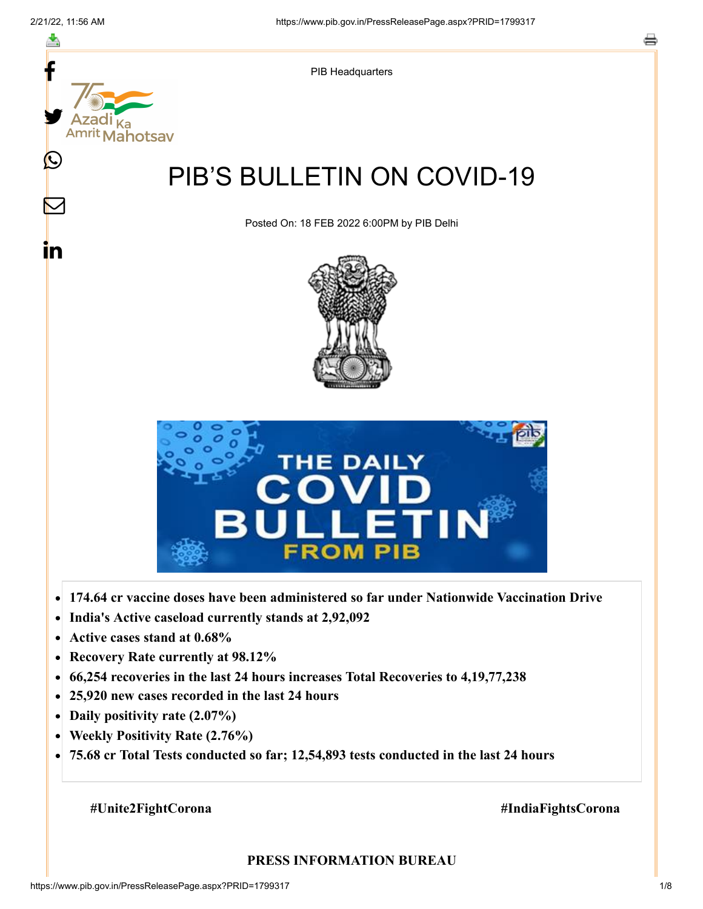

- **Active cases stand at 0.68%**  $\bullet$
- **Recovery Rate currently at 98.12%**  $\bullet$
- **66,254 recoveries in the last 24 hours increases Total Recoveries to 4,19,77,238**  $\bullet$
- **25,920 new cases recorded in the last 24 hours**  $\bullet$
- **Daily positivity rate (2.07%)**  $\bullet$
- **Weekly Positivity Rate (2.76%)**  $\bullet$
- **75.68 cr Total Tests conducted so far; 12,54,893 tests conducted in the last 24 hours**  $\bullet$

#### **#Unite2FightCorona #IndiaFightsCorona**

#### **PRESS INFORMATION BUREAU**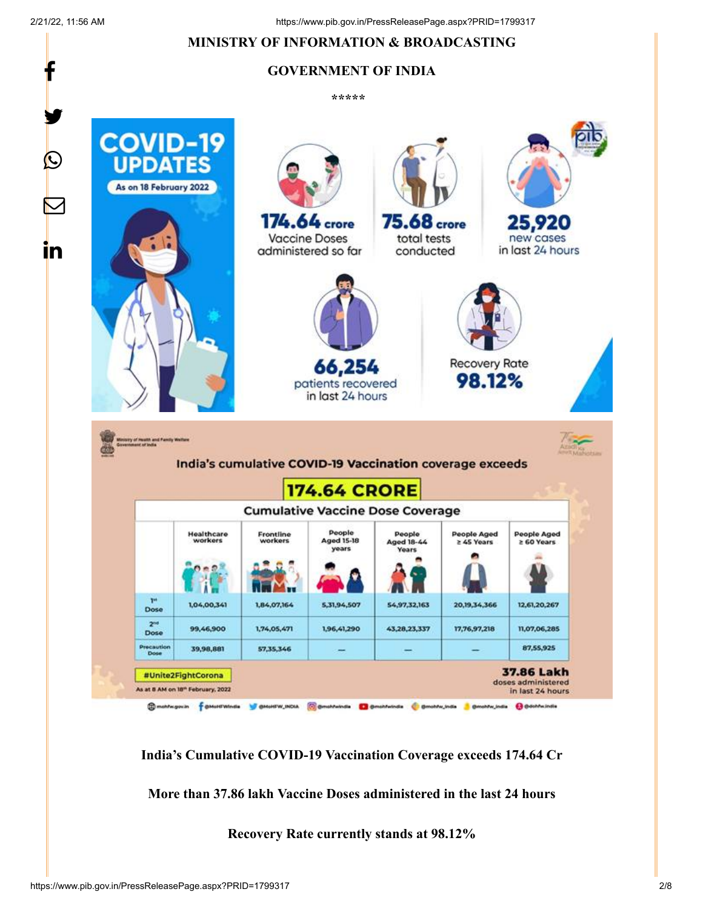f

y.

 $\boldsymbol{\mathcal{Q}}$ 

<u>in</u>

# **MINISTRY OF INFORMATION & BROADCASTING**

# **GOVERNMENT OF INDIA**

**\*\*\*\*\*** 



**India's Cumulative COVID-19 Vaccination Coverage exceeds 174.64 Cr**

**More than 37.86 lakh Vaccine Doses administered in the last 24 hours**

**Recovery Rate currently stands at 98.12%**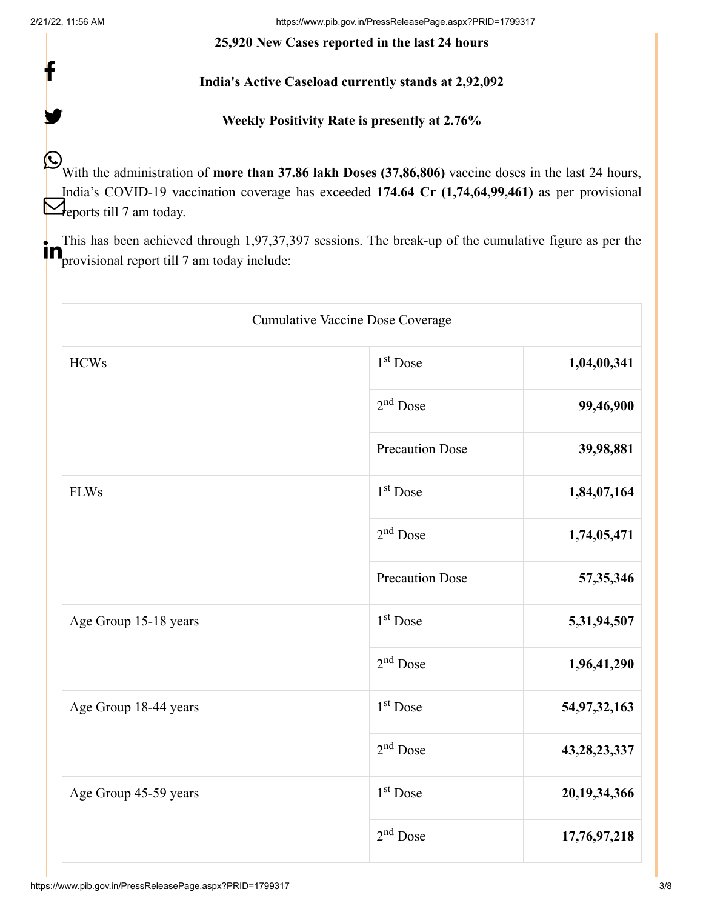f

y.

2/21/22, 11:56 AM https://www.pib.gov.in/PressReleasePage.aspx?PRID=1799317

#### **25,920 New Cases reported in the last 24 hours**

**India's Active Caseload currently stands at 2,92,092**

**Weekly Positivity Rate is presently at 2.76%**

With the administration of **more than 37.86 lakh Doses (37,86,806)** vaccine doses in the last 24 hours, India's COVID-19 vaccination coverage has exceeded **174.64 Cr (1,74,64,99,461)** as per provisional  $\sum_{\text{eports till 7 am today.}}$ 

This has been achieved through 1,97,37,397 sessions. The break-up of the cumulative figure as per the **Provisional report till 7 am today include:** 

| <b>Cumulative Vaccine Dose Coverage</b> |                        |                 |
|-----------------------------------------|------------------------|-----------------|
| <b>HCWs</b>                             | 1 <sup>st</sup> Dose   | 1,04,00,341     |
|                                         | $2nd$ Dose             | 99,46,900       |
|                                         | <b>Precaution Dose</b> | 39,98,881       |
| <b>FLWs</b>                             | 1 <sup>st</sup> Dose   | 1,84,07,164     |
|                                         | $2nd$ Dose             | 1,74,05,471     |
|                                         | <b>Precaution Dose</b> | 57,35,346       |
| Age Group 15-18 years                   | 1 <sup>st</sup> Dose   | 5,31,94,507     |
|                                         | $2nd$ Dose             | 1,96,41,290     |
| Age Group 18-44 years                   | 1 <sup>st</sup> Dose   | 54,97,32,163    |
|                                         | $2nd$ Dose             | 43, 28, 23, 337 |
| Age Group 45-59 years                   | 1 <sup>st</sup> Dose   | 20,19,34,366    |
|                                         | $2nd$ Dose             | 17,76,97,218    |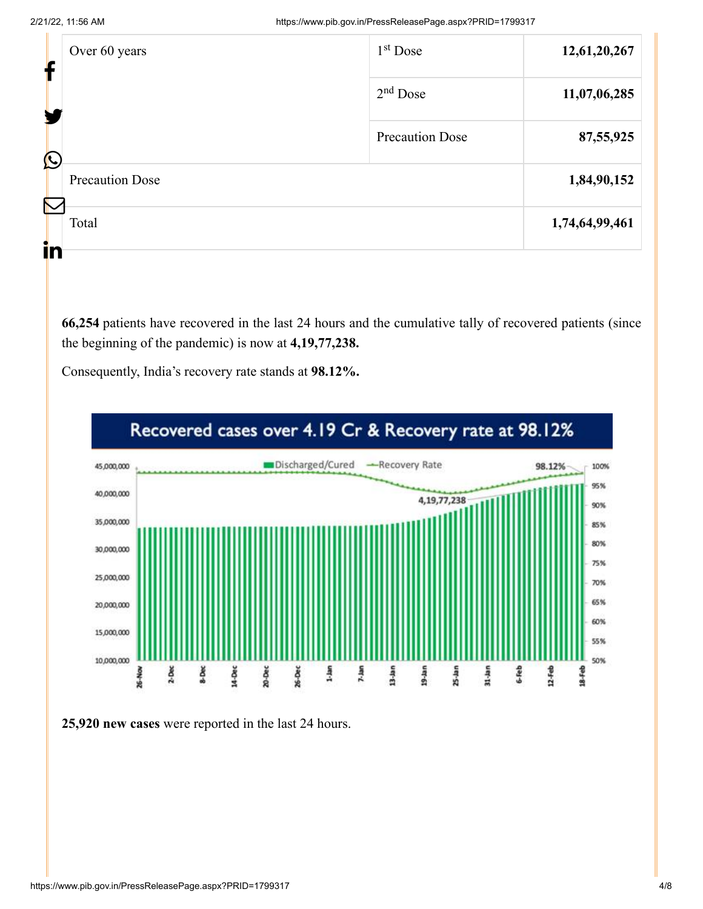| f | Over 60 years          | $1st$ Dose             | 12,61,20,267   |
|---|------------------------|------------------------|----------------|
|   |                        | $2nd$ Dose             | 11,07,06,285   |
|   | $\bigcirc$             | <b>Precaution Dose</b> | 87,55,925      |
|   | <b>Precaution Dose</b> |                        | 1,84,90,152    |
|   | $\mathcal{R}$<br>Total |                        | 1,74,64,99,461 |
|   | in                     |                        |                |

**66,254** patients have recovered in the last 24 hours and the cumulative tally of recovered patients (since the beginning of the pandemic) is now at **4,19,77,238.**

Consequently, India's recovery rate stands at **98.12%.**

![](_page_3_Figure_5.jpeg)

![](_page_3_Figure_6.jpeg)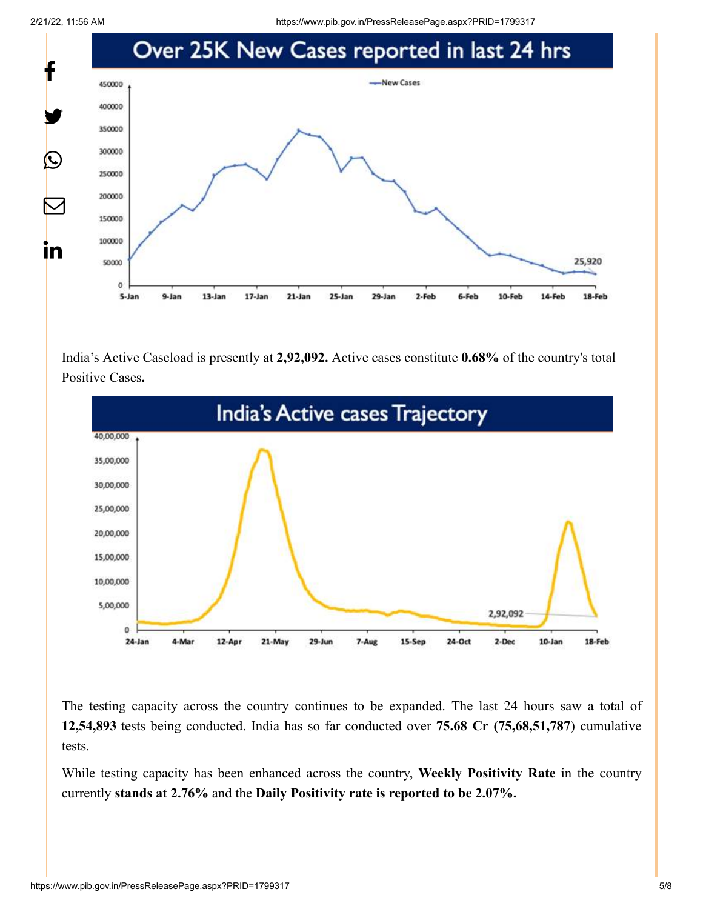2/21/22, 11:56 AM https://www.pib.gov.in/PressReleasePage.aspx?PRID=1799317

![](_page_4_Figure_2.jpeg)

India's Active Caseload is presently at **2,92,092.** Active cases constitute **0.68%** of the country's total Positive Cases**.**

![](_page_4_Figure_4.jpeg)

The testing capacity across the country continues to be expanded. The last 24 hours saw a total of **12,54,893** tests being conducted. India has so far conducted over **75.68 Cr (75,68,51,787**) cumulative tests.

While testing capacity has been enhanced across the country, **Weekly Positivity Rate** in the country currently **stands at 2.76%** and the **Daily Positivity rate is reported to be 2.07%.**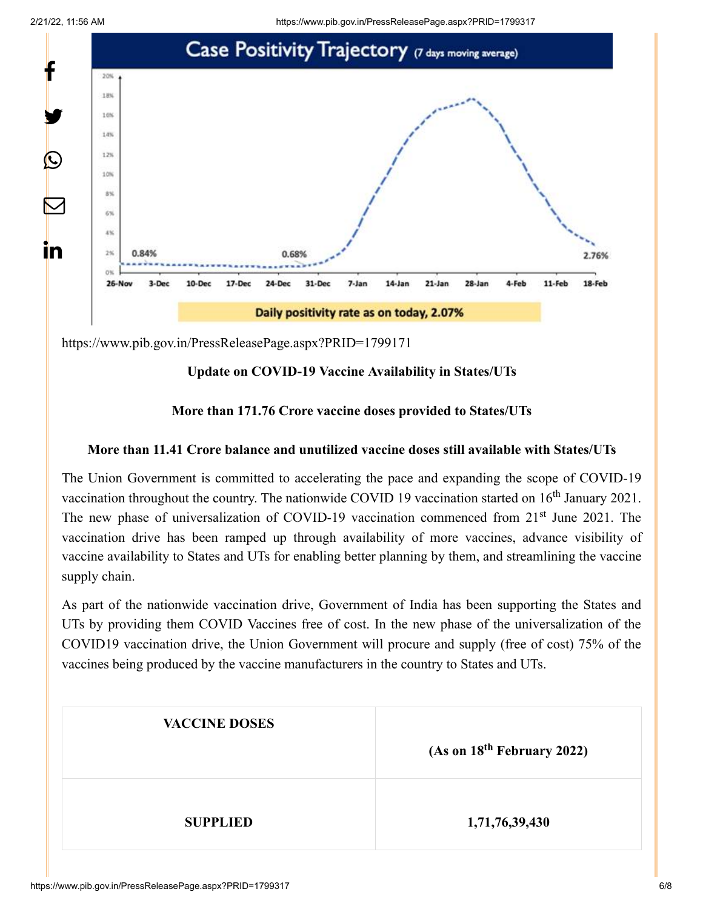![](_page_5_Figure_1.jpeg)

![](_page_5_Figure_2.jpeg)

<https://www.pib.gov.in/PressReleasePage.aspx?PRID=1799171>

# **Update on COVID-19 Vaccine Availability in States/UTs**

### **More than 171.76 Crore vaccine doses provided to States/UTs**

### **More than 11.41 Crore balance and unutilized vaccine doses still available with States/UTs**

The Union Government is committed to accelerating the pace and expanding the scope of COVID-19 vaccination throughout the country. The nationwide COVID 19 vaccination started on  $16<sup>th</sup>$  January 2021. The new phase of universalization of COVID-19 vaccination commenced from 21<sup>st</sup> June 2021. The vaccination drive has been ramped up through availability of more vaccines, advance visibility of vaccine availability to States and UTs for enabling better planning by them, and streamlining the vaccine supply chain.

As part of the nationwide vaccination drive, Government of India has been supporting the States and UTs by providing them COVID Vaccines free of cost. In the new phase of the universalization of the COVID19 vaccination drive, the Union Government will procure and supply (free of cost) 75% of the vaccines being produced by the vaccine manufacturers in the country to States and UTs.

| <b>VACCINE DOSES</b> | (As on 18 <sup>th</sup> February 2022) |  |
|----------------------|----------------------------------------|--|
| <b>SUPPLIED</b>      | 1,71,76,39,430                         |  |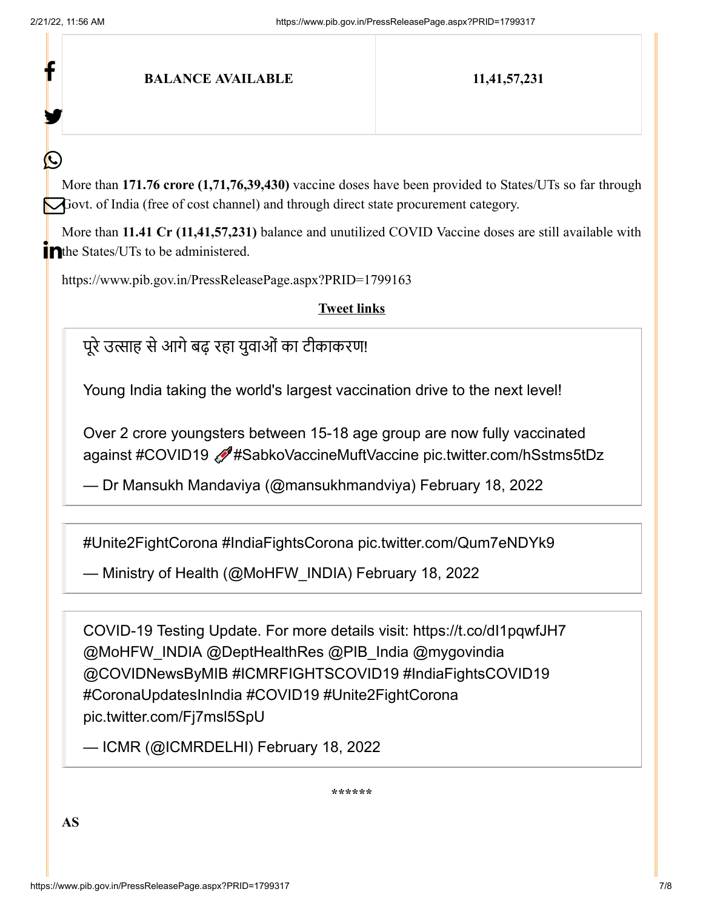f

У.

 $\bm{\mathcal{Q}}$ 

### **BALANCE AVAILABLE 11,41,57,231**

More than **171.76 crore (1,71,76,39,430)** vaccine doses have been provided to States/UTs so far through Govt. of India (free of cost channel) and through direct state procurement category.

More than **11.41 Cr (11,41,57,231)** balance and unutilized COVID Vaccine doses are still available with in the States/UTs to be administered.

<https://www.pib.gov.in/PressReleasePage.aspx?PRID=1799163>

**Tweet links**

पूरे उत्साह से आगे बढ़ रहा युवाओं का टीकाकरण!

Young India taking the world's largest vaccination drive to the next level!

Over 2 crore youngsters between 15-18 age group are now fully vaccinated against [#COVID19](https://twitter.com/hashtag/COVID19?src=hash&ref_src=twsrc%5Etfw) [#SabkoVaccineMuftVaccine](https://twitter.com/hashtag/SabkoVaccineMuftVaccine?src=hash&ref_src=twsrc%5Etfw) [pic.twitter.com/hSstms5tDz](https://t.co/hSstms5tDz)

— Dr Mansukh Mandaviya (@mansukhmandviya) [February 18, 2022](https://twitter.com/mansukhmandviya/status/1494609104379453440?ref_src=twsrc%5Etfw)

[#Unite2FightCorona](https://twitter.com/hashtag/Unite2FightCorona?src=hash&ref_src=twsrc%5Etfw) [#IndiaFightsCorona](https://twitter.com/hashtag/IndiaFightsCorona?src=hash&ref_src=twsrc%5Etfw) [pic.twitter.com/Qum7eNDYk9](https://t.co/Qum7eNDYk9)

— Ministry of Health (@MoHFW\_INDIA) [February 18, 2022](https://twitter.com/MoHFW_INDIA/status/1494533586271170561?ref_src=twsrc%5Etfw)

COVID-19 Testing Update. For more details visit: <https://t.co/dI1pqwfJH7> [@MoHFW\\_INDIA](https://twitter.com/MoHFW_INDIA?ref_src=twsrc%5Etfw) [@DeptHealthRes](https://twitter.com/DeptHealthRes?ref_src=twsrc%5Etfw) [@PIB\\_India](https://twitter.com/PIB_India?ref_src=twsrc%5Etfw) [@mygovindia](https://twitter.com/mygovindia?ref_src=twsrc%5Etfw) [@COVIDNewsByMIB](https://twitter.com/COVIDNewsByMIB?ref_src=twsrc%5Etfw) [#ICMRFIGHTSCOVID19](https://twitter.com/hashtag/ICMRFIGHTSCOVID19?src=hash&ref_src=twsrc%5Etfw) [#IndiaFightsCOVID19](https://twitter.com/hashtag/IndiaFightsCOVID19?src=hash&ref_src=twsrc%5Etfw) [#CoronaUpdatesInIndia](https://twitter.com/hashtag/CoronaUpdatesInIndia?src=hash&ref_src=twsrc%5Etfw) [#COVID19](https://twitter.com/hashtag/COVID19?src=hash&ref_src=twsrc%5Etfw) [#Unite2FightCorona](https://twitter.com/hashtag/Unite2FightCorona?src=hash&ref_src=twsrc%5Etfw) [pic.twitter.com/Fj7msl5SpU](https://t.co/Fj7msl5SpU)

— ICMR (@ICMRDELHI) [February 18, 2022](https://twitter.com/ICMRDELHI/status/1494516403587923970?ref_src=twsrc%5Etfw)

**\*\*\*\*\*\***

**AS**